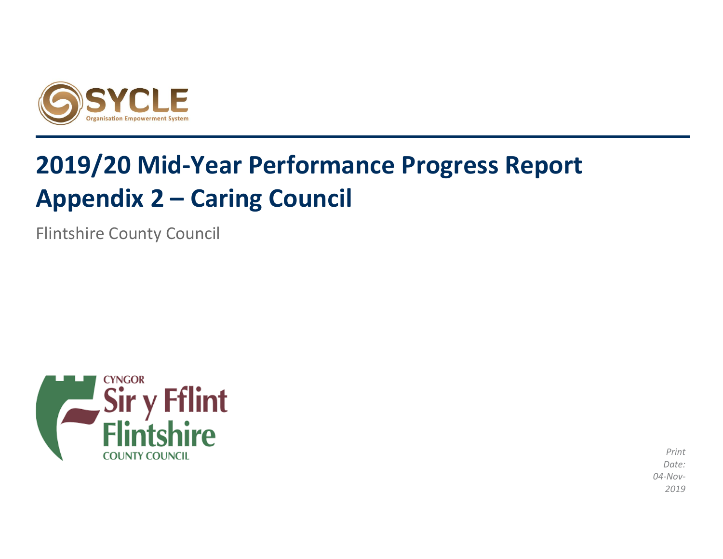

# **2019/20 Mid-Year Performance Progress Report Appendix 2 – Caring Council**

Flintshire County Council



*Print Date: 04-Nov-2019*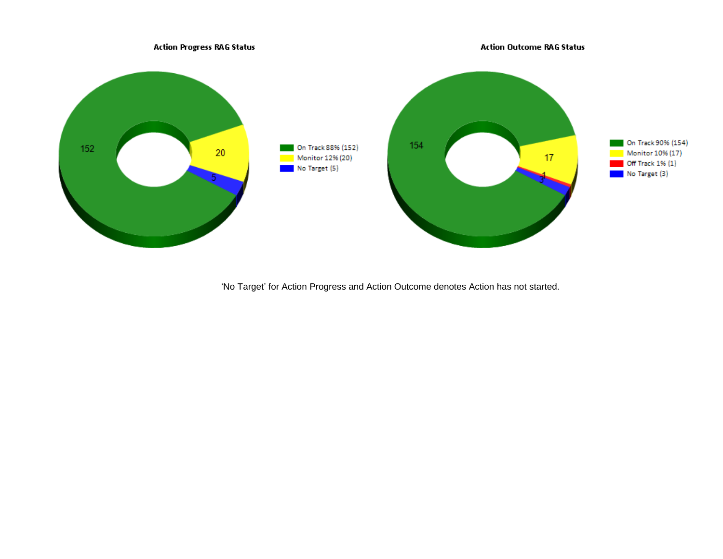

'No Target' for Action Progress and Action Outcome denotes Action has not started.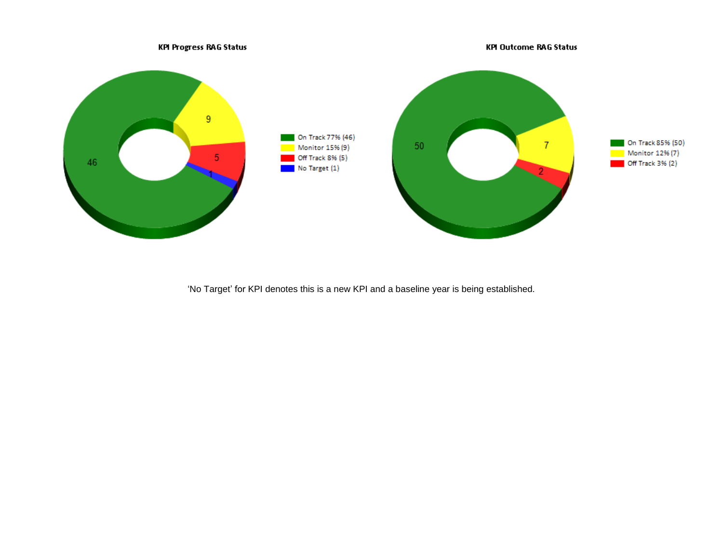

'No Target' for KPI denotes this is a new KPI and a baseline year is being established.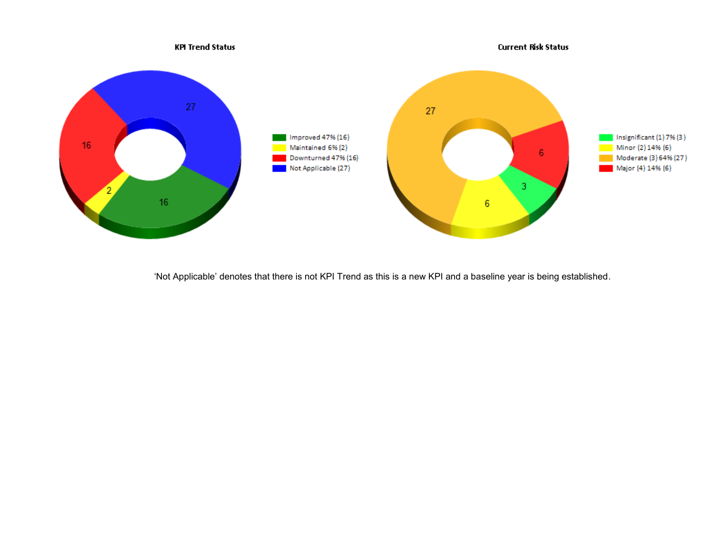

'Not Applicable' denotes that there is not KPI Trend as this is a new KPI and a baseline year is being established.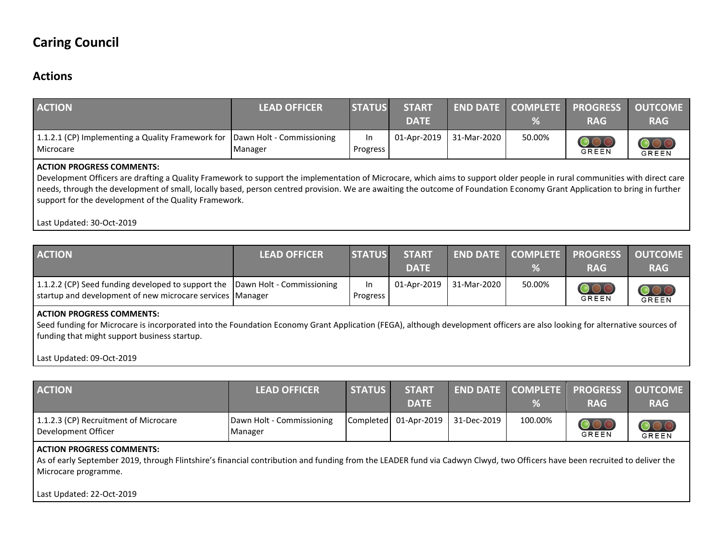## **Caring Council**

### **Actions**

| <b>ACTION</b>                                                                                                                                                                                                                                                                                                                                                                                                                                        | <b>LEAD OFFICER</b>                  | <b>STATUS</b>         | <b>START</b><br><b>DATE</b> |             | <b>END DATE COMPLETE</b><br>% | <b>PROGRESS</b><br><b>RAG</b> | <b>OUTCOME</b><br><b>RAG</b>                 |
|------------------------------------------------------------------------------------------------------------------------------------------------------------------------------------------------------------------------------------------------------------------------------------------------------------------------------------------------------------------------------------------------------------------------------------------------------|--------------------------------------|-----------------------|-----------------------------|-------------|-------------------------------|-------------------------------|----------------------------------------------|
| 1.1.2.1 (CP) Implementing a Quality Framework for<br>Microcare                                                                                                                                                                                                                                                                                                                                                                                       | Dawn Holt - Commissioning<br>Manager | <b>In</b><br>Progress | 01-Apr-2019                 | 31-Mar-2020 | 50.00%                        | $\mathrm{OOC}$<br>GREEN       | $\overline{\mathcal{O}}\mathcal{O}$<br>GREEN |
| <b>ACTION PROGRESS COMMENTS:</b><br>Development Officers are drafting a Quality Framework to support the implementation of Microcare, which aims to support older people in rural communities with direct care<br>needs, through the development of small, locally based, person centred provision. We are awaiting the outcome of Foundation Economy Grant Application to bring in further<br>support for the development of the Quality Framework. |                                      |                       |                             |             |                               |                               |                                              |

Last Updated: 30-Oct-2019

| <b>ACTION</b>                                                                                                                             | <b>LEAD OFFICER</b> | <b>STATUS</b>   | <b>START</b><br><b>DATE</b> |  |        | <b>END DATE COMPLETE PROGRESS</b><br><b>RAG</b> | <b>OUTCOME</b><br><b>RAG</b> |
|-------------------------------------------------------------------------------------------------------------------------------------------|---------------------|-----------------|-----------------------------|--|--------|-------------------------------------------------|------------------------------|
| 1.1.2.2 (CP) Seed funding developed to support the Dawn Holt - Commissioning<br>startup and development of new microcare services Manager |                     | In.<br>Progress | 01-Apr-2019   31-Mar-2020   |  | 50.00% | GREEN                                           | OOC<br><b>GREEN</b>          |
|                                                                                                                                           |                     |                 |                             |  |        |                                                 |                              |

#### **ACTION PROGRESS COMMENTS:**

Seed funding for Microcare is incorporated into the Foundation Economy Grant Application (FEGA), although development officers are also looking for alternative sources of funding that might support business startup.

Last Updated: 09-Oct-2019

| <b>ACTION</b>                                                | <b>LEAD OFFICER</b>                  | <b>STATUS</b> | <b>START</b><br><b>DATE</b> |                                   |         | END DATE   COMPLETE   PROGRESS   OUTCOME<br><b>RAG</b> | <b>RAG</b> |
|--------------------------------------------------------------|--------------------------------------|---------------|-----------------------------|-----------------------------------|---------|--------------------------------------------------------|------------|
| 1.1.2.3 (CP) Recruitment of Microcare<br>Development Officer | Dawn Holt - Commissioning<br>Manager |               |                             | Completed 01-Apr-2019 31-Dec-2019 | 100.00% | GREEN                                                  | GREEN      |

#### **ACTION PROGRESS COMMENTS:**

As of early September 2019, through Flintshire's financial contribution and funding from the LEADER fund via Cadwyn Clwyd, two Officers have been recruited to deliver the Microcare programme.

Last Updated: 22-Oct-2019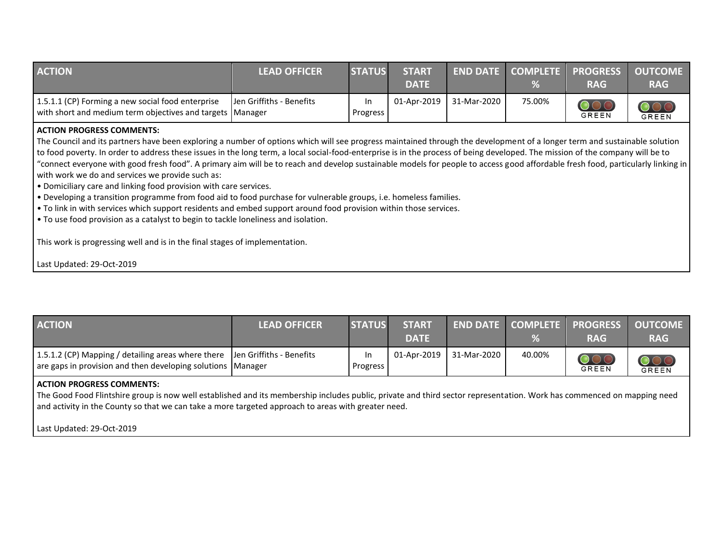| <b>ACTION</b>                                                                                                  | <b>LEAD OFFICER</b>      | <b>STATUS</b>  | <b>START</b><br><b>DATE</b> |                           | $\%$   | END DATE COMPLETE PROGRESS OUTCOME<br><b>RAG</b> | <b>RAG</b> |
|----------------------------------------------------------------------------------------------------------------|--------------------------|----------------|-----------------------------|---------------------------|--------|--------------------------------------------------|------------|
| 1.5.1.1 (CP) Forming a new social food enterprise<br>with short and medium term objectives and targets Manager | Jen Griffiths - Benefits | In<br>Progress |                             | 01-Apr-2019   31-Mar-2020 | 75.00% | GREEN                                            | GREEN      |

#### **ACTION PROGRESS COMMENTS:**

The Council and its partners have been exploring a number of options which will see progress maintained through the development of a longer term and sustainable solution to food poverty. In order to address these issues in the long term, a local social-food-enterprise is in the process of being developed. The mission of the company will be to "connect everyone with good fresh food". A primary aim will be to reach and develop sustainable models for people to access good affordable fresh food, particularly linking in with work we do and services we provide such as:

- Domiciliary care and linking food provision with care services.
- Developing a transition programme from food aid to food purchase for vulnerable groups, i.e. homeless families.
- To link in with services which support residents and embed support around food provision within those services.
- To use food provision as a catalyst to begin to tackle loneliness and isolation.

This work is progressing well and is in the final stages of implementation.

Last Updated: 29-Oct-2019

| <b>ACTION</b>                                                                                                                               | <b>LEAD OFFICER</b> | <b>STATUS</b>  | <b>START</b><br><b>DATE</b> |             |        | <b>END DATE COMPLETE PROGRESS OUTCOME</b><br><b>RAG</b> | <b>RAG</b>   |
|---------------------------------------------------------------------------------------------------------------------------------------------|---------------------|----------------|-----------------------------|-------------|--------|---------------------------------------------------------|--------------|
| 1.5.1.2 (CP) Mapping / detailing areas where there  Jen Griffiths - Benefits<br>are gaps in provision and then developing solutions Manager |                     | In<br>Progress | 01-Apr-2019                 | 31-Mar-2020 | 40.00% | GREEN                                                   | <b>GREEN</b> |

#### **ACTION PROGRESS COMMENTS:**

The Good Food Flintshire group is now well established and its membership includes public, private and third sector representation. Work has commenced on mapping need and activity in the County so that we can take a more targeted approach to areas with greater need.

Last Updated: 29-Oct-2019